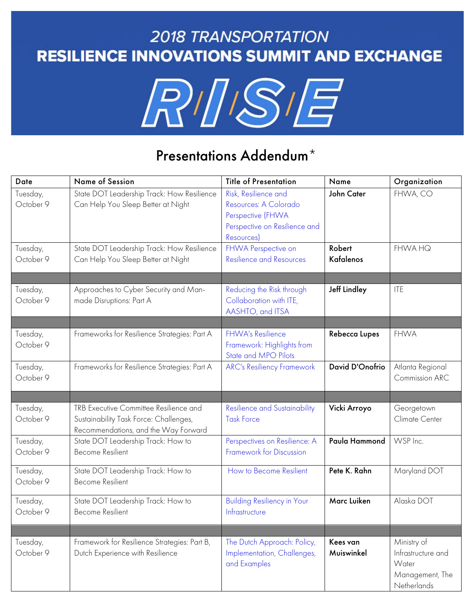## **2018 TRANSPORTATION RESILIENCE INNOVATIONS SUMMIT AND EXCHANGE**



## Presentations Addendum\*

| Date                  | Name of Session                                                                                                          | <b>Title of Presentation</b>                                                                                      | Name                       | Organization                                                                 |
|-----------------------|--------------------------------------------------------------------------------------------------------------------------|-------------------------------------------------------------------------------------------------------------------|----------------------------|------------------------------------------------------------------------------|
| Tuesday,<br>October 9 | State DOT Leadership Track: How Resilience<br>Can Help You Sleep Better at Night                                         | Risk, Resilience and<br>Resources: A Colorado<br>Perspective (FHWA<br>Perspective on Resilience and<br>Resources) | John Cater                 | FHWA, CO                                                                     |
| Tuesday,<br>October 9 | State DOT Leadership Track: How Resilience<br>Can Help You Sleep Better at Night                                         | FHWA Perspective on<br><b>Resilience and Resources</b>                                                            | Robert<br><b>Kafalenos</b> | <b>FHWA HQ</b>                                                               |
| Tuesday,<br>October 9 | Approaches to Cyber Security and Man-<br>made Disruptions: Part A                                                        | Reducing the Risk through<br>Collaboration with ITE,<br>AASHTO, and ITSA                                          | <b>Jeff Lindley</b>        | <b>ITE</b>                                                                   |
| Tuesday,<br>October 9 | Frameworks for Resilience Strategies: Part A                                                                             | <b>FHWA's Resilience</b><br>Framework: Highlights from<br>State and MPO Pilots                                    | Rebecca Lupes              | <b>FHWA</b>                                                                  |
| Tuesday,<br>October 9 | Frameworks for Resilience Strategies: Part A                                                                             | <b>ARC's Resiliency Framework</b>                                                                                 | David D'Onofrio            | Atlanta Regional<br>Commission ARC                                           |
| Tuesday,<br>October 9 | TRB Executive Committee Resilience and<br>Sustainability Task Force: Challenges,<br>Recommendations, and the Way Forward | <b>Resilience and Sustainability</b><br><b>Task Force</b>                                                         | Vicki Arroyo               | Georgetown<br>Climate Center                                                 |
| Tuesday,<br>October 9 | State DOT Leadership Track: How to<br><b>Become Resilient</b>                                                            | Perspectives on Resilience: A<br>Framework for Discussion                                                         | Paula Hammond              | WSP Inc.                                                                     |
| Tuesday,<br>October 9 | State DOT Leadership Track: How to<br><b>Become Resilient</b>                                                            | How to Become Resilient                                                                                           | Pete K. Rahn               | Maryland DOT                                                                 |
| Tuesday,<br>October 9 | State DOT Leadership Track: How to<br><b>Become Resilient</b>                                                            | <b>Building Resiliency in Your</b><br>Infrastructure                                                              | Marc Luiken                | Alaska DOT                                                                   |
|                       |                                                                                                                          |                                                                                                                   |                            |                                                                              |
| Tuesday,<br>October 9 | Framework for Resilience Strategies: Part B,<br>Dutch Experience with Resilience                                         | The Dutch Approach: Policy,<br>Implementation, Challenges,<br>and Examples                                        | Kees van<br>Muiswinkel     | Ministry of<br>Infrastructure and<br>Water<br>Management, The<br>Netherlands |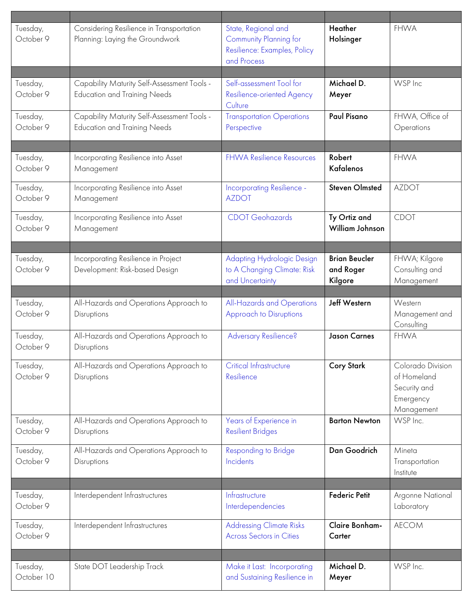| Tuesday,<br>October 9  | Considering Resilience in Transportation<br>Planning: Laying the Groundwork        | State, Regional and<br>Community Planning for<br>Resilience: Examples, Policy<br>and Process | <b>Heather</b><br>Holsinger                  | <b>FHWA</b>                                                                 |
|------------------------|------------------------------------------------------------------------------------|----------------------------------------------------------------------------------------------|----------------------------------------------|-----------------------------------------------------------------------------|
| Tuesday,<br>October 9  | Capability Maturity Self-Assessment Tools -<br><b>Education and Training Needs</b> | Self-assessment Tool for<br>Resilience-oriented Agency<br>Culture                            | Michael D.<br>Meyer                          | WSP Inc                                                                     |
| Tuesday,<br>October 9  | Capability Maturity Self-Assessment Tools -<br><b>Education and Training Needs</b> | <b>Transportation Operations</b><br>Perspective                                              | Paul Pisano                                  | FHWA, Office of<br>Operations                                               |
|                        |                                                                                    |                                                                                              |                                              |                                                                             |
| Tuesday,<br>October 9  | Incorporating Resilience into Asset<br>Management                                  | <b>FHWA Resilience Resources</b>                                                             | Robert<br>Kafalenos                          | <b>FHWA</b>                                                                 |
| Tuesday,<br>October 9  | Incorporating Resilience into Asset<br>Management                                  | Incorporating Resilience -<br><b>AZDOT</b>                                                   | <b>Steven Olmsted</b>                        | <b>AZDOT</b>                                                                |
| Tuesday,<br>October 9  | Incorporating Resilience into Asset<br>Management                                  | <b>CDOT</b> Geohazards                                                                       | Ty Ortiz and<br><b>William Johnson</b>       | <b>CDOT</b>                                                                 |
|                        |                                                                                    |                                                                                              |                                              |                                                                             |
| Tuesday,<br>October 9  | Incorporating Resilience in Project<br>Development: Risk-based Design              | Adapting Hydrologic Design<br>to A Changing Climate: Risk<br>and Uncertainty                 | <b>Brian Beucler</b><br>and Roger<br>Kilgore | FHWA; Kilgore<br>Consulting and<br>Management                               |
|                        |                                                                                    |                                                                                              |                                              |                                                                             |
| Tuesday,<br>October 9  | All-Hazards and Operations Approach to<br>Disruptions                              | All-Hazards and Operations<br>Approach to Disruptions                                        | <b>Jeff Western</b>                          | Western<br>Management and<br>Consulting                                     |
| Tuesday,<br>October 9  | All-Hazards and Operations Approach to<br>Disruptions                              | <b>Adversary Resilience?</b>                                                                 | <b>Jason Carnes</b>                          | <b>FHWA</b>                                                                 |
| Tuesday,<br>October 9  | All-Hazards and Operations Approach to<br>Disruptions                              | Critical Infrastructure<br>Resilience                                                        | <b>Cory Stark</b>                            | Colorado Division<br>of Homeland<br>Security and<br>Emergency<br>Management |
| Tuesday,<br>October 9  | All-Hazards and Operations Approach to<br>Disruptions                              | Years of Experience in<br><b>Resilient Bridges</b>                                           | <b>Barton Newton</b>                         | WSP Inc.                                                                    |
| Tuesday,<br>October 9  | All-Hazards and Operations Approach to<br>Disruptions                              | Responding to Bridge<br>Incidents                                                            | Dan Goodrich                                 | Mineta<br>Transportation<br>Institute                                       |
|                        |                                                                                    |                                                                                              |                                              |                                                                             |
| Tuesday,<br>October 9  | Interdependent Infrastructures                                                     | Infrastructure<br>Interdependencies                                                          | <b>Federic Petit</b>                         | Argonne National<br>Laboratory                                              |
| Tuesday,<br>October 9  | Interdependent Infrastructures                                                     | <b>Addressing Climate Risks</b><br><b>Across Sectors in Cities</b>                           | Claire Bonham-<br>Carter                     | <b>AECOM</b>                                                                |
|                        |                                                                                    |                                                                                              |                                              |                                                                             |
| Tuesday,<br>October 10 | State DOT Leadership Track                                                         | Make it Last: Incorporating<br>and Sustaining Resilience in                                  | Michael D.<br>Meyer                          | WSP Inc.                                                                    |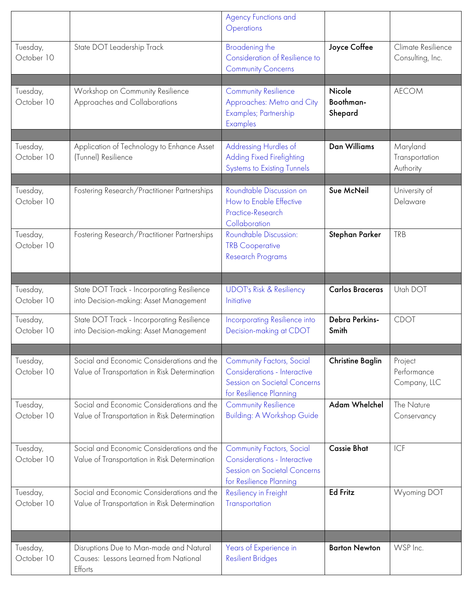|                        |                                                                                             | <b>Agency Functions and</b><br>Operations                                                                                   |                                |                                         |
|------------------------|---------------------------------------------------------------------------------------------|-----------------------------------------------------------------------------------------------------------------------------|--------------------------------|-----------------------------------------|
| Tuesday,<br>October 10 | State DOT Leadership Track                                                                  | Broadening the<br>Consideration of Resilience to<br><b>Community Concerns</b>                                               | Joyce Coffee                   | Climate Resilience<br>Consulting, Inc.  |
| Tuesday,<br>October 10 | Workshop on Community Resilience<br>Approaches and Collaborations                           | <b>Community Resilience</b><br>Approaches: Metro and City<br>Examples; Partnership<br>Examples                              | Nicole<br>Boothman-<br>Shepard | <b>AECOM</b>                            |
| Tuesday,<br>October 10 | Application of Technology to Enhance Asset<br>(Tunnel) Resilience                           | Addressing Hurdles of<br>Adding Fixed Firefighting<br><b>Systems to Existing Tunnels</b>                                    | <b>Dan Williams</b>            | Maryland<br>Transportation<br>Authority |
| Tuesday,<br>October 10 | Fostering Research/Practitioner Partnerships                                                | Roundtable Discussion on<br>How to Enable Effective<br>Practice-Research<br>Collaboration                                   | Sue McNeil                     | University of<br>Delaware               |
| Tuesday,<br>October 10 | Fostering Research/Practitioner Partnerships                                                | Roundtable Discussion:<br><b>TRB Cooperative</b><br><b>Research Programs</b>                                                | Stephan Parker                 | <b>TRB</b>                              |
|                        |                                                                                             |                                                                                                                             |                                |                                         |
| Tuesday,<br>October 10 | State DOT Track - Incorporating Resilience<br>into Decision-making: Asset Management        | <b>UDOT's Risk &amp; Resiliency</b><br>Initiative                                                                           | <b>Carlos Braceras</b>         | Utah DOT                                |
| Tuesday,<br>October 10 | State DOT Track - Incorporating Resilience<br>into Decision-making: Asset Management        | Incorporating Resilience into<br>Decision-making at CDOT                                                                    | Debra Perkins-<br>Smith        | <b>CDOT</b>                             |
| Tuesday,<br>October 10 | Social and Economic Considerations and the<br>Value of Transportation in Risk Determination | <b>Community Factors, Social</b><br>Considerations - Interactive<br>Session on Societal Concerns<br>for Resilience Planning | <b>Christine Baglin</b>        | Project<br>Performance<br>Company, LLC  |
| Tuesday,<br>October 10 | Social and Economic Considerations and the<br>Value of Transportation in Risk Determination | <b>Community Resilience</b><br><b>Building: A Workshop Guide</b>                                                            | Adam Whelchel                  | The Nature<br>Conservancy               |
| Tuesday,<br>October 10 | Social and Economic Considerations and the<br>Value of Transportation in Risk Determination | <b>Community Factors, Social</b><br>Considerations - Interactive<br>Session on Societal Concerns<br>for Resilience Planning | <b>Cassie Bhat</b>             | ICF                                     |
| Tuesday,<br>October 10 | Social and Economic Considerations and the<br>Value of Transportation in Risk Determination | Resiliency in Freight<br>Transportation                                                                                     | <b>Ed Fritz</b>                | Wyoming DOT                             |
|                        |                                                                                             |                                                                                                                             |                                |                                         |
| Tuesday,<br>October 10 | Disruptions Due to Man-made and Natural<br>Causes: Lessons Learned from National<br>Efforts | Years of Experience in<br><b>Resilient Bridges</b>                                                                          | <b>Barton Newton</b>           | WSP Inc.                                |